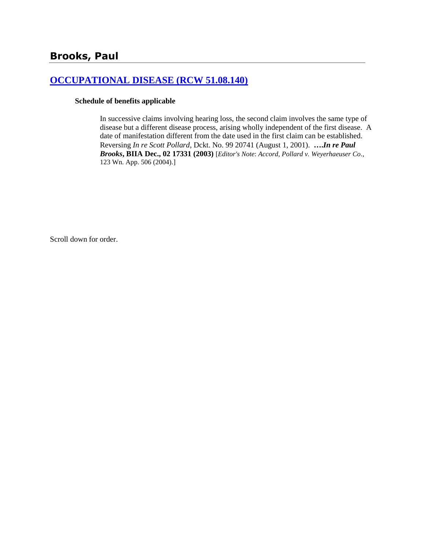### **[OCCUPATIONAL DISEASE \(RCW 51.08.140\)](http://www.biia.wa.gov/SDSubjectIndex.html#OCCUPATIONAL_DISEASE)**

#### **Schedule of benefits applicable**

In successive claims involving hearing loss, the second claim involves the same type of disease but a different disease process, arising wholly independent of the first disease. A date of manifestation different from the date used in the first claim can be established. Reversing *In re Scott Pollard*, Dckt. No. 99 20741 (August 1, 2001). **….***In re Paul Brooks***, BIIA Dec., 02 17331 (2003)** [*Editor's Note*: *Accord*, *Pollard v. Weyerhaeuser Co*., 123 Wn. App. 506 (2004).]

Scroll down for order.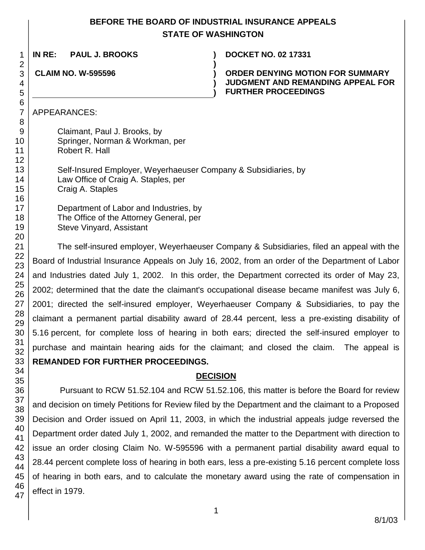# **BEFORE THE BOARD OF INDUSTRIAL INSURANCE APPEALS STATE OF WASHINGTON**

**)**

**) )**

**IN RE: PAUL J. BROOKS ) DOCKET NO. 02 17331**

**CLAIM NO. W-595596 )**

**ORDER DENYING MOTION FOR SUMMARY JUDGMENT AND REMANDING APPEAL FOR FURTHER PROCEEDINGS**

APPEARANCES:

Claimant, Paul J. Brooks, by Springer, Norman & Workman, per Robert R. Hall

Self-Insured Employer, Weyerhaeuser Company & Subsidiaries, by Law Office of Craig A. Staples, per Craig A. Staples

Department of Labor and Industries, by The Office of the Attorney General, per Steve Vinyard, Assistant

The self-insured employer, Weyerhaeuser Company & Subsidiaries, filed an appeal with the Board of Industrial Insurance Appeals on July 16, 2002, from an order of the Department of Labor and Industries dated July 1, 2002. In this order, the Department corrected its order of May 23, 2002; determined that the date the claimant's occupational disease became manifest was July 6, 2001; directed the self-insured employer, Weyerhaeuser Company & Subsidiaries, to pay the claimant a permanent partial disability award of 28.44 percent, less a pre-existing disability of 5.16 percent, for complete loss of hearing in both ears; directed the self-insured employer to purchase and maintain hearing aids for the claimant; and closed the claim. The appeal is **REMANDED FOR FURTHER PROCEEDINGS.**

# **DECISION**

Pursuant to RCW 51.52.104 and RCW 51.52.106, this matter is before the Board for review and decision on timely Petitions for Review filed by the Department and the claimant to a Proposed Decision and Order issued on April 11, 2003, in which the industrial appeals judge reversed the Department order dated July 1, 2002, and remanded the matter to the Department with direction to issue an order closing Claim No. W-595596 with a permanent partial disability award equal to 28.44 percent complete loss of hearing in both ears, less a pre-existing 5.16 percent complete loss of hearing in both ears, and to calculate the monetary award using the rate of compensation in effect in 1979.

47

1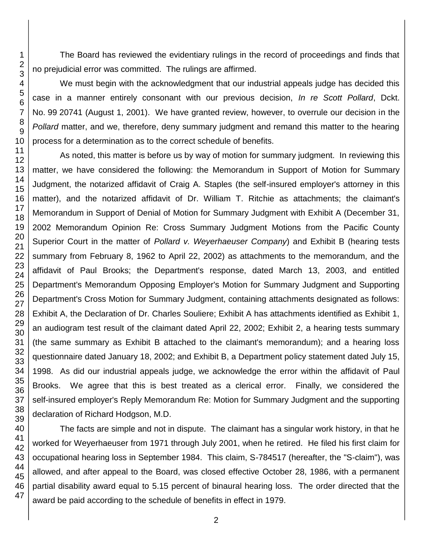The Board has reviewed the evidentiary rulings in the record of proceedings and finds that no prejudicial error was committed. The rulings are affirmed.

We must begin with the acknowledgment that our industrial appeals judge has decided this case in a manner entirely consonant with our previous decision, *In re Scott Pollard*, Dckt. No. 99 20741 (August 1, 2001). We have granted review, however, to overrule our decision in the *Pollard* matter, and we, therefore, deny summary judgment and remand this matter to the hearing process for a determination as to the correct schedule of benefits.

As noted, this matter is before us by way of motion for summary judgment. In reviewing this matter, we have considered the following: the Memorandum in Support of Motion for Summary Judgment, the notarized affidavit of Craig A. Staples (the self-insured employer's attorney in this matter), and the notarized affidavit of Dr. William T. Ritchie as attachments; the claimant's Memorandum in Support of Denial of Motion for Summary Judgment with Exhibit A (December 31, 2002 Memorandum Opinion Re: Cross Summary Judgment Motions from the Pacific County Superior Court in the matter of *Pollard v. Weyerhaeuser Company*) and Exhibit B (hearing tests summary from February 8, 1962 to April 22, 2002) as attachments to the memorandum, and the affidavit of Paul Brooks; the Department's response, dated March 13, 2003, and entitled Department's Memorandum Opposing Employer's Motion for Summary Judgment and Supporting Department's Cross Motion for Summary Judgment, containing attachments designated as follows: Exhibit A, the Declaration of Dr. Charles Souliere; Exhibit A has attachments identified as Exhibit 1, an audiogram test result of the claimant dated April 22, 2002; Exhibit 2, a hearing tests summary (the same summary as Exhibit B attached to the claimant's memorandum); and a hearing loss questionnaire dated January 18, 2002; and Exhibit B, a Department policy statement dated July 15, 1998. As did our industrial appeals judge, we acknowledge the error within the affidavit of Paul Brooks. We agree that this is best treated as a clerical error. Finally, we considered the self-insured employer's Reply Memorandum Re: Motion for Summary Judgment and the supporting declaration of Richard Hodgson, M.D.

The facts are simple and not in dispute. The claimant has a singular work history, in that he worked for Weyerhaeuser from 1971 through July 2001, when he retired. He filed his first claim for occupational hearing loss in September 1984. This claim, S-784517 (hereafter, the "S-claim"), was allowed, and after appeal to the Board, was closed effective October 28, 1986, with a permanent partial disability award equal to 5.15 percent of binaural hearing loss. The order directed that the award be paid according to the schedule of benefits in effect in 1979.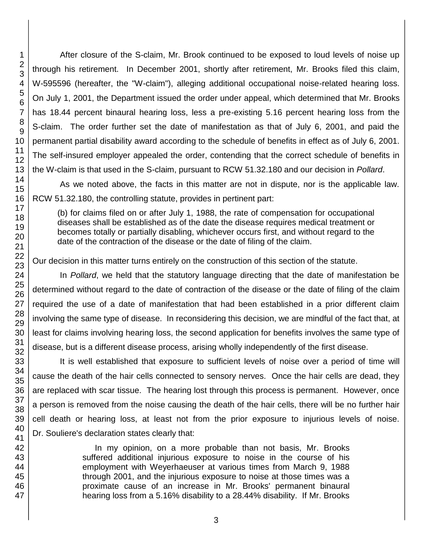After closure of the S-claim, Mr. Brook continued to be exposed to loud levels of noise up through his retirement. In December 2001, shortly after retirement, Mr. Brooks filed this claim, W-595596 (hereafter, the "W-claim"), alleging additional occupational noise-related hearing loss. On July 1, 2001, the Department issued the order under appeal, which determined that Mr. Brooks has 18.44 percent binaural hearing loss, less a pre-existing 5.16 percent hearing loss from the S-claim. The order further set the date of manifestation as that of July 6, 2001, and paid the permanent partial disability award according to the schedule of benefits in effect as of July 6, 2001. The self-insured employer appealed the order, contending that the correct schedule of benefits in the W-claim is that used in the S-claim, pursuant to RCW 51.32.180 and our decision in *Pollard*.

As we noted above, the facts in this matter are not in dispute, nor is the applicable law. RCW 51.32.180, the controlling statute, provides in pertinent part:

(b) for claims filed on or after July 1, 1988, the rate of compensation for occupational diseases shall be established as of the date the disease requires medical treatment or becomes totally or partially disabling, whichever occurs first, and without regard to the date of the contraction of the disease or the date of filing of the claim.

Our decision in this matter turns entirely on the construction of this section of the statute.

In *Pollard*, we held that the statutory language directing that the date of manifestation be determined without regard to the date of contraction of the disease or the date of filing of the claim required the use of a date of manifestation that had been established in a prior different claim involving the same type of disease. In reconsidering this decision, we are mindful of the fact that, at least for claims involving hearing loss, the second application for benefits involves the same type of disease, but is a different disease process, arising wholly independently of the first disease.

It is well established that exposure to sufficient levels of noise over a period of time will cause the death of the hair cells connected to sensory nerves. Once the hair cells are dead, they are replaced with scar tissue. The hearing lost through this process is permanent. However, once a person is removed from the noise causing the death of the hair cells, there will be no further hair cell death or hearing loss, at least not from the prior exposure to injurious levels of noise. Dr. Souliere's declaration states clearly that:

> In my opinion, on a more probable than not basis, Mr. Brooks suffered additional injurious exposure to noise in the course of his employment with Weyerhaeuser at various times from March 9, 1988 through 2001, and the injurious exposure to noise at those times was a proximate cause of an increase in Mr. Brooks' permanent binaural hearing loss from a 5.16% disability to a 28.44% disability. If Mr. Brooks

1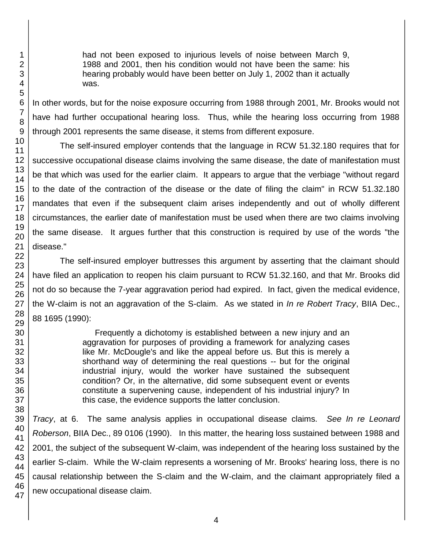had not been exposed to injurious levels of noise between March 9, 1988 and 2001, then his condition would not have been the same: his hearing probably would have been better on July 1, 2002 than it actually was.

In other words, but for the noise exposure occurring from 1988 through 2001, Mr. Brooks would not have had further occupational hearing loss. Thus, while the hearing loss occurring from 1988 through 2001 represents the same disease, it stems from different exposure.

The self-insured employer contends that the language in RCW 51.32.180 requires that for successive occupational disease claims involving the same disease, the date of manifestation must be that which was used for the earlier claim. It appears to argue that the verbiage "without regard to the date of the contraction of the disease or the date of filing the claim" in RCW 51.32.180 mandates that even if the subsequent claim arises independently and out of wholly different circumstances, the earlier date of manifestation must be used when there are two claims involving the same disease. It argues further that this construction is required by use of the words "the disease."

The self-insured employer buttresses this argument by asserting that the claimant should have filed an application to reopen his claim pursuant to RCW 51.32.160, and that Mr. Brooks did not do so because the 7-year aggravation period had expired. In fact, given the medical evidence, the W-claim is not an aggravation of the S-claim. As we stated in *In re Robert Tracy*, BIIA Dec., 88 1695 (1990):

> Frequently a dichotomy is established between a new injury and an aggravation for purposes of providing a framework for analyzing cases like Mr. McDougle's and like the appeal before us. But this is merely a shorthand way of determining the real questions -- but for the original industrial injury, would the worker have sustained the subsequent condition? Or, in the alternative, did some subsequent event or events constitute a supervening cause, independent of his industrial injury? In this case, the evidence supports the latter conclusion.

47 *Tracy*, at 6. The same analysis applies in occupational disease claims. *See In re Leonard Roberson*, BIIA Dec., 89 0106 (1990). In this matter, the hearing loss sustained between 1988 and 2001, the subject of the subsequent W-claim, was independent of the hearing loss sustained by the earlier S-claim. While the W-claim represents a worsening of Mr. Brooks' hearing loss, there is no causal relationship between the S-claim and the W-claim, and the claimant appropriately filed a new occupational disease claim.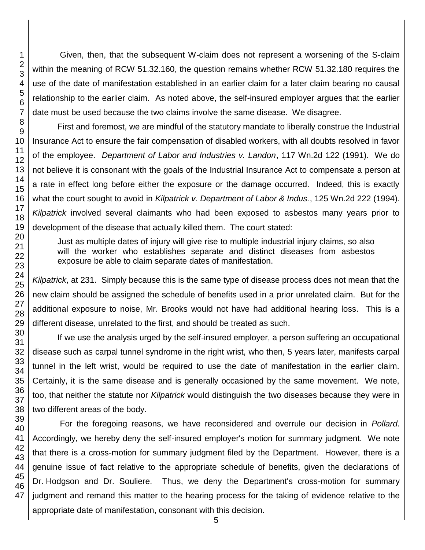Given, then, that the subsequent W-claim does not represent a worsening of the S-claim within the meaning of RCW 51.32.160, the question remains whether RCW 51.32.180 requires the use of the date of manifestation established in an earlier claim for a later claim bearing no causal relationship to the earlier claim. As noted above, the self-insured employer argues that the earlier date must be used because the two claims involve the same disease. We disagree.

First and foremost, we are mindful of the statutory mandate to liberally construe the Industrial Insurance Act to ensure the fair compensation of disabled workers, with all doubts resolved in favor of the employee. *Department of Labor and Industries v. Landon*, 117 Wn.2d 122 (1991). We do not believe it is consonant with the goals of the Industrial Insurance Act to compensate a person at a rate in effect long before either the exposure or the damage occurred. Indeed, this is exactly what the court sought to avoid in *Kilpatrick v. Department of Labor & Indus.*, 125 Wn.2d 222 (1994). *Kilpatrick* involved several claimants who had been exposed to asbestos many years prior to development of the disease that actually killed them. The court stated:

Just as multiple dates of injury will give rise to multiple industrial injury claims, so also will the worker who establishes separate and distinct diseases from asbestos exposure be able to claim separate dates of manifestation.

*Kilpatrick*, at 231. Simply because this is the same type of disease process does not mean that the new claim should be assigned the schedule of benefits used in a prior unrelated claim. But for the additional exposure to noise, Mr. Brooks would not have had additional hearing loss. This is a different disease, unrelated to the first, and should be treated as such.

If we use the analysis urged by the self-insured employer, a person suffering an occupational disease such as carpal tunnel syndrome in the right wrist, who then, 5 years later, manifests carpal tunnel in the left wrist, would be required to use the date of manifestation in the earlier claim. Certainly, it is the same disease and is generally occasioned by the same movement. We note, too, that neither the statute nor *Kilpatrick* would distinguish the two diseases because they were in two different areas of the body.

For the foregoing reasons, we have reconsidered and overrule our decision in *Pollard*. Accordingly, we hereby deny the self-insured employer's motion for summary judgment. We note that there is a cross-motion for summary judgment filed by the Department. However, there is a genuine issue of fact relative to the appropriate schedule of benefits, given the declarations of Dr. Hodgson and Dr. Souliere. Thus, we deny the Department's cross-motion for summary judgment and remand this matter to the hearing process for the taking of evidence relative to the appropriate date of manifestation, consonant with this decision.